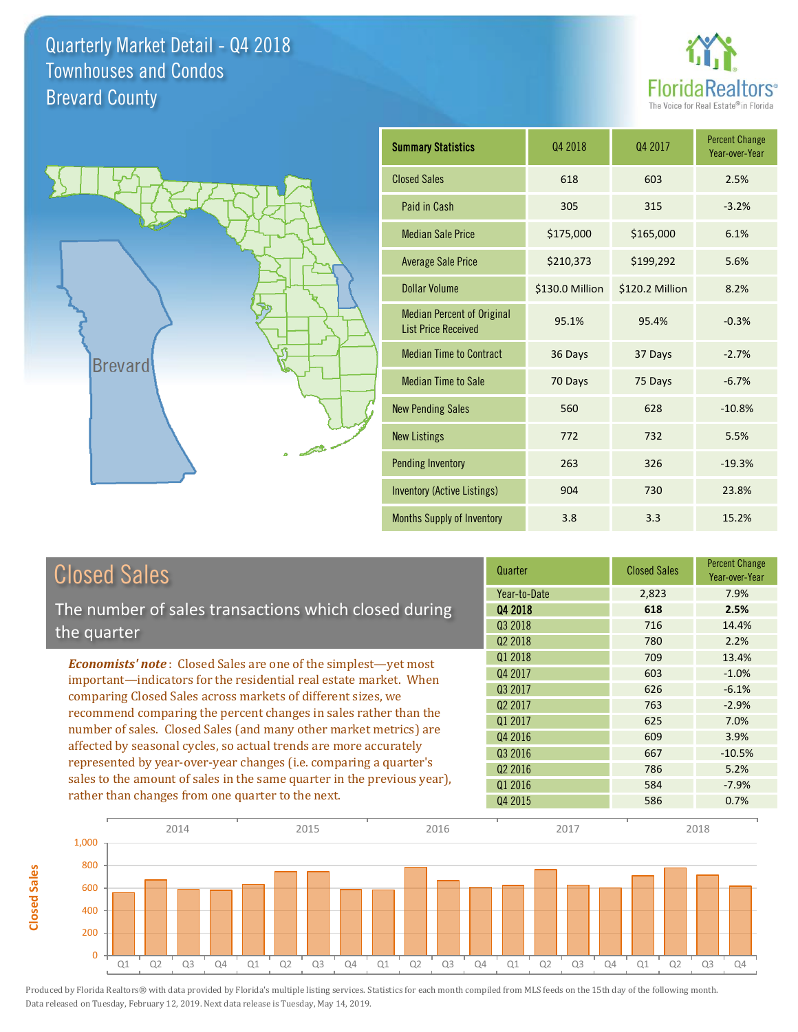



**Closed Sales**

**Closed Sales** 

| <b>Summary Statistics</b>                                       | 04 2018         | 04 2017         | <b>Percent Change</b><br>Year-over-Year |
|-----------------------------------------------------------------|-----------------|-----------------|-----------------------------------------|
| <b>Closed Sales</b>                                             | 618             | 603             | 2.5%                                    |
| Paid in Cash                                                    | 305             | 315             | $-3.2%$                                 |
| <b>Median Sale Price</b>                                        | \$175,000       | \$165,000       | 6.1%                                    |
| <b>Average Sale Price</b>                                       | \$210,373       | \$199,292       | 5.6%                                    |
| <b>Dollar Volume</b>                                            | \$130.0 Million | \$120.2 Million | 8.2%                                    |
| <b>Median Percent of Original</b><br><b>List Price Received</b> | 95.1%           | 95.4%           | $-0.3%$                                 |
| <b>Median Time to Contract</b>                                  | 36 Days         | 37 Days         | $-2.7%$                                 |
| <b>Median Time to Sale</b>                                      | 70 Days         | 75 Days         | $-6.7%$                                 |
| <b>New Pending Sales</b>                                        | 560             | 628             | $-10.8%$                                |
| <b>New Listings</b>                                             | 772             | 732             | 5.5%                                    |
| <b>Pending Inventory</b>                                        | 263             | 326             | $-19.3%$                                |
| <b>Inventory (Active Listings)</b>                              | 904             | 730             | 23.8%                                   |
| Months Supply of Inventory                                      | 3.8             | 3.3             | 15.2%                                   |

| <b>Closed Sales</b>                                                                                                                                                                                                                                                                                                                                                                                                                                                             | Quarter             | <b>Closed Sales</b> | <b>Percent Change</b><br>Year-over-Year |
|---------------------------------------------------------------------------------------------------------------------------------------------------------------------------------------------------------------------------------------------------------------------------------------------------------------------------------------------------------------------------------------------------------------------------------------------------------------------------------|---------------------|---------------------|-----------------------------------------|
|                                                                                                                                                                                                                                                                                                                                                                                                                                                                                 | Year-to-Date        | 2,823               | 7.9%                                    |
| The number of sales transactions which closed during                                                                                                                                                                                                                                                                                                                                                                                                                            | 04 2018             | 618                 | 2.5%                                    |
| the quarter                                                                                                                                                                                                                                                                                                                                                                                                                                                                     | Q3 2018             | 716                 | 14.4%                                   |
|                                                                                                                                                                                                                                                                                                                                                                                                                                                                                 | Q <sub>2</sub> 2018 | 780                 | 2.2%                                    |
| <b>Economists' note:</b> Closed Sales are one of the simplest—yet most                                                                                                                                                                                                                                                                                                                                                                                                          | Q1 2018             | 709                 | 13.4%                                   |
| important—indicators for the residential real estate market. When                                                                                                                                                                                                                                                                                                                                                                                                               | Q4 2017             | 603                 | $-1.0%$                                 |
| comparing Closed Sales across markets of different sizes, we<br>recommend comparing the percent changes in sales rather than the<br>number of sales. Closed Sales (and many other market metrics) are<br>affected by seasonal cycles, so actual trends are more accurately<br>represented by year-over-year changes (i.e. comparing a quarter's<br>sales to the amount of sales in the same quarter in the previous year),<br>rather than changes from one quarter to the next. | Q3 2017             | 626                 | $-6.1%$                                 |
|                                                                                                                                                                                                                                                                                                                                                                                                                                                                                 | Q <sub>2</sub> 2017 | 763                 | $-2.9%$                                 |
|                                                                                                                                                                                                                                                                                                                                                                                                                                                                                 | 01 2017             | 625                 | 7.0%                                    |
|                                                                                                                                                                                                                                                                                                                                                                                                                                                                                 | Q4 2016             | 609                 | 3.9%                                    |
|                                                                                                                                                                                                                                                                                                                                                                                                                                                                                 | Q3 2016             | 667                 | $-10.5%$                                |
|                                                                                                                                                                                                                                                                                                                                                                                                                                                                                 | Q <sub>2</sub> 2016 | 786                 | 5.2%                                    |
|                                                                                                                                                                                                                                                                                                                                                                                                                                                                                 | Q1 2016             | 584                 | $-7.9%$                                 |
|                                                                                                                                                                                                                                                                                                                                                                                                                                                                                 | Q4 2015             | 586                 | 0.7%                                    |

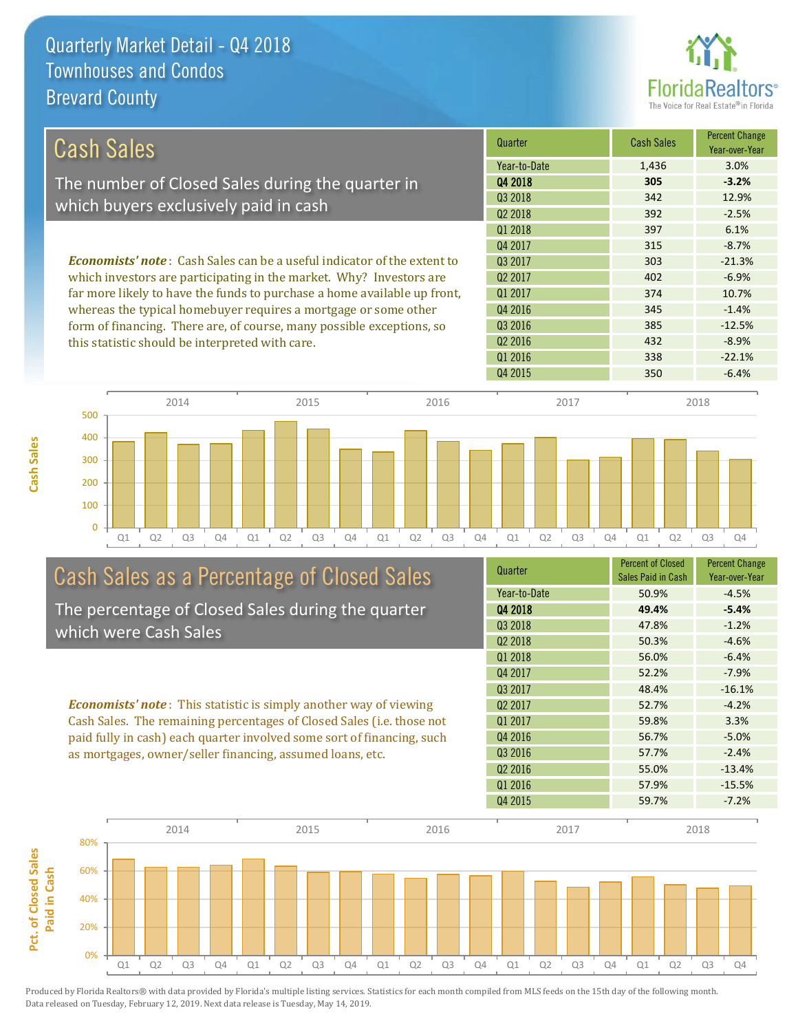**Cash Sales**



| Cash Sales                                                                                                                                                                                  | Quarter             | <b>Cash Sales</b> | <b>Percent Change</b><br>Year-over-Year |
|---------------------------------------------------------------------------------------------------------------------------------------------------------------------------------------------|---------------------|-------------------|-----------------------------------------|
|                                                                                                                                                                                             | Year-to-Date        | 1,436             | 3.0%                                    |
| The number of Closed Sales during the quarter in                                                                                                                                            | 04 2018             | 305               | $-3.2%$                                 |
| which buyers exclusively paid in cash                                                                                                                                                       | 03 2018             | 342               | 12.9%                                   |
|                                                                                                                                                                                             | Q <sub>2</sub> 2018 | 392               | $-2.5%$                                 |
|                                                                                                                                                                                             | 01 2018             | 397               | 6.1%                                    |
|                                                                                                                                                                                             | Q4 2017             | 315               | $-8.7%$                                 |
| <b>Economists' note:</b> Cash Sales can be a useful indicator of the extent to                                                                                                              | 03 2017             | 303               | $-21.3%$                                |
| which investors are participating in the market. Why? Investors are                                                                                                                         | 02 2017             | 402               | $-6.9%$                                 |
| far more likely to have the funds to purchase a home available up front,                                                                                                                    | 01 2017             | 374               | 10.7%                                   |
| whereas the typical homebuyer requires a mortgage or some other<br>form of financing. There are, of course, many possible exceptions, so<br>this statistic should be interpreted with care. | Q4 2016             | 345               | $-1.4%$                                 |
|                                                                                                                                                                                             | Q3 2016             | 385               | $-12.5%$                                |
|                                                                                                                                                                                             | Q <sub>2</sub> 2016 | 432               | $-8.9%$                                 |
|                                                                                                                                                                                             | Q1 2016             | 338               | $-22.1%$                                |



# Cash Sales as a Percentage of Closed Sales

The percentage of Closed Sales during the quarter which were Cash Sales

*Economists' note* : This statistic is simply another way of viewing Cash Sales. The remaining percentages of Closed Sales (i.e. those not paid fully in cash) each quarter involved some sort of financing, such as mortgages, owner/seller financing, assumed loans, etc.

| 50.9%<br>Year-to-Date<br>$-4.5%$<br>Q4 2018<br>49.4%<br>$-5.4%$<br>Q3 2018<br>$-1.2%$<br>47.8%<br>Q <sub>2</sub> 2018<br>50.3%<br>$-4.6%$<br>01 2018<br>56.0%<br>$-6.4%$<br>Q4 2017<br>52.2%<br>$-7.9%$<br>Q3 2017<br>48.4%<br>$-16.1%$<br>Q <sub>2</sub> 2017<br>52.7%<br>$-4.2%$<br>Q1 2017<br>3.3%<br>59.8%<br>Q4 2016<br>56.7%<br>$-5.0%$<br>03 2016<br>$-2.4%$<br>57.7%<br>02 2016<br>55.0%<br>$-13.4%$ | Quarter | <b>Percent of Closed</b><br>Sales Paid in Cash | <b>Percent Change</b><br>Year-over-Year |
|--------------------------------------------------------------------------------------------------------------------------------------------------------------------------------------------------------------------------------------------------------------------------------------------------------------------------------------------------------------------------------------------------------------|---------|------------------------------------------------|-----------------------------------------|
|                                                                                                                                                                                                                                                                                                                                                                                                              |         |                                                |                                         |
|                                                                                                                                                                                                                                                                                                                                                                                                              |         |                                                |                                         |
|                                                                                                                                                                                                                                                                                                                                                                                                              |         |                                                |                                         |
|                                                                                                                                                                                                                                                                                                                                                                                                              |         |                                                |                                         |
|                                                                                                                                                                                                                                                                                                                                                                                                              |         |                                                |                                         |
|                                                                                                                                                                                                                                                                                                                                                                                                              |         |                                                |                                         |
|                                                                                                                                                                                                                                                                                                                                                                                                              |         |                                                |                                         |
|                                                                                                                                                                                                                                                                                                                                                                                                              |         |                                                |                                         |
|                                                                                                                                                                                                                                                                                                                                                                                                              |         |                                                |                                         |
|                                                                                                                                                                                                                                                                                                                                                                                                              |         |                                                |                                         |
|                                                                                                                                                                                                                                                                                                                                                                                                              |         |                                                |                                         |
|                                                                                                                                                                                                                                                                                                                                                                                                              |         |                                                |                                         |
| Q1 2016<br>57.9%<br>$-15.5%$                                                                                                                                                                                                                                                                                                                                                                                 |         |                                                |                                         |
| Q4 2015<br>59.7%<br>$-7.2%$                                                                                                                                                                                                                                                                                                                                                                                  |         |                                                |                                         |

Q4 2015 350 -6.4%

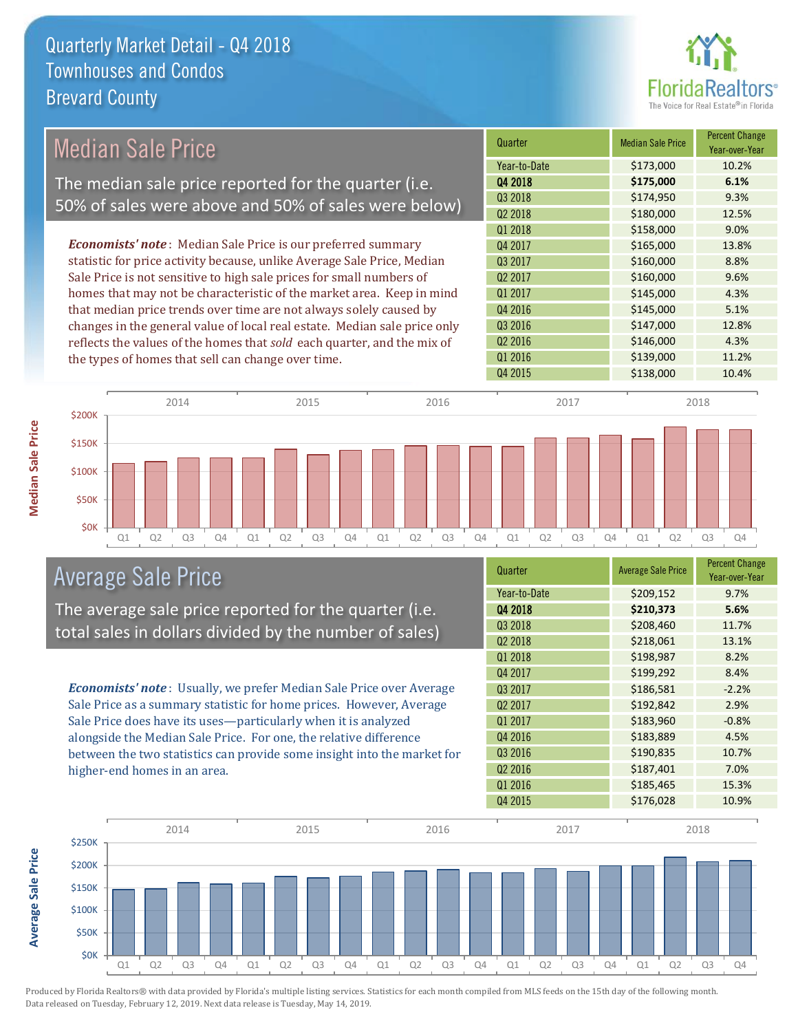

#### Median Sale Price The median sale price reported for the quarter (i.e. 50% of sales were above and 50% of sales were below)

*Economists' note* : Median Sale Price is our preferred summary statistic for price activity because, unlike Average Sale Price, Median Sale Price is not sensitive to high sale prices for small numbers of homes that may not be characteristic of the market area. Keep in mind that median price trends over time are not always solely caused by changes in the general value of local real estate. Median sale price only reflects the values of the homes that *sold* each quarter, and the mix of the types of homes that sell can change over time.





#### Average Sale Price

The average sale price reported for the quarter (i.e. total sales in dollars divided by the number of sales)

*Economists' note* : Usually, we prefer Median Sale Price over Average Sale Price as a summary statistic for home prices. However, Average Sale Price does have its uses—particularly when it is analyzed alongside the Median Sale Price. For one, the relative difference between the two statistics can provide some insight into the market for higher-end homes in an area.

| Quarter             | <b>Average Sale Price</b> | <b>Percent Change</b><br>Year-over-Year |
|---------------------|---------------------------|-----------------------------------------|
| Year-to-Date        | \$209,152                 | 9.7%                                    |
| Q4 2018             | \$210,373                 | 5.6%                                    |
| Q3 2018             | \$208,460                 | 11.7%                                   |
| Q <sub>2</sub> 2018 | \$218,061                 | 13.1%                                   |
| Q1 2018             | \$198,987                 | 8.2%                                    |
| Q4 2017             | \$199,292                 | 8.4%                                    |
| Q3 2017             | \$186,581                 | $-2.2%$                                 |
| Q <sub>2</sub> 2017 | \$192,842                 | 2.9%                                    |
| Q1 2017             | \$183,960                 | $-0.8%$                                 |
| Q4 2016             | \$183,889                 | 4.5%                                    |
| Q3 2016             | \$190,835                 | 10.7%                                   |
| Q <sub>2</sub> 2016 | \$187,401                 | 7.0%                                    |
| Q1 2016             | \$185,465                 | 15.3%                                   |
| Q4 2015             | \$176,028                 | 10.9%                                   |



**Median Sale Price**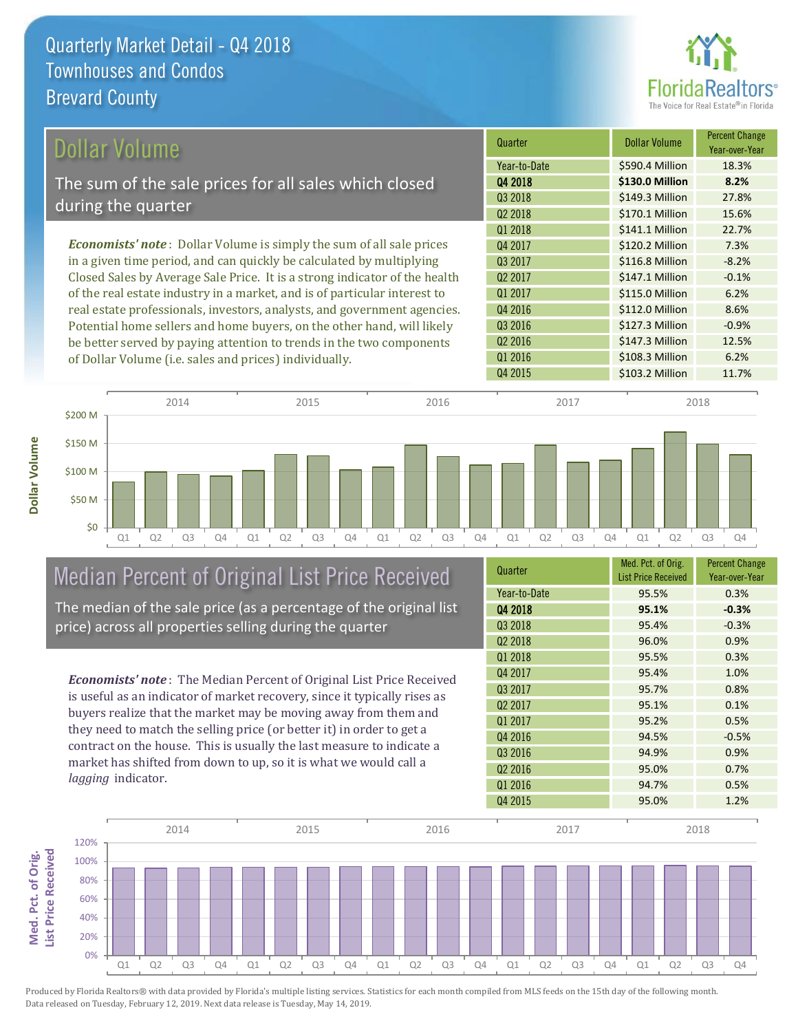

| Dollar Volume                                                                | Quarter             | <b>Dollar Volume</b> | <b>Percent Change</b><br>Year-over-Year |
|------------------------------------------------------------------------------|---------------------|----------------------|-----------------------------------------|
|                                                                              | Year-to-Date        | \$590.4 Million      | 18.3%                                   |
| The sum of the sale prices for all sales which closed                        | Q4 2018             | \$130.0 Million      | 8.2%                                    |
| during the quarter                                                           | Q3 2018             | \$149.3 Million      | 27.8%                                   |
|                                                                              | Q <sub>2</sub> 2018 | \$170.1 Million      | 15.6%                                   |
|                                                                              | Q1 2018             | \$141.1 Million      | 22.7%                                   |
| <b>Economists' note</b> : Dollar Volume is simply the sum of all sale prices | Q4 2017             | \$120.2 Million      | 7.3%                                    |
| in a given time period, and can quickly be calculated by multiplying         | 03 2017             | \$116.8 Million      | $-8.2%$                                 |
| Closed Sales by Average Sale Price. It is a strong indicator of the health   | Q <sub>2</sub> 2017 | \$147.1 Million      | $-0.1%$                                 |
| of the real estate industry in a market, and is of particular interest to    | Q1 2017             | \$115.0 Million      | 6.2%                                    |
| real estate professionals, investors, analysts, and government agencies.     | Q4 2016             | \$112.0 Million      | 8.6%                                    |
| Potential home sellers and home buyers, on the other hand, will likely       | Q3 2016             | \$127.3 Million      | $-0.9%$                                 |
| be better served by paying attention to trends in the two components         | Q <sub>2</sub> 2016 | \$147.3 Million      | 12.5%                                   |
| of Dollar Volume (i.e. sales and prices) individually.                       | Q1 2016             | \$108.3 Million      | 6.2%                                    |

Q1 Q2 Q3 Q4 Q1 Q2 Q3 Q4 Q1 Q2 Q3 Q4 Q1 Q2 Q3 Q4 Q1 Q2 Q3 Q4 \$0 \$50 M \$100 M \$150 M \$200 M 2014 2015 2016 2017 2018

Median Percent of Original List Price Received The median of the sale price (as a percentage of the original list price) across all properties selling during the quarter

*Economists' note* : The Median Percent of Original List Price Received is useful as an indicator of market recovery, since it typically rises as buyers realize that the market may be moving away from them and they need to match the selling price (or better it) in order to get a contract on the house. This is usually the last measure to indicate a market has shifted from down to up, so it is what we would call a *lagging* indicator.

| Quarter             | Med. Pct. of Orig.<br><b>List Price Received</b> | <b>Percent Change</b><br>Year-over-Year |
|---------------------|--------------------------------------------------|-----------------------------------------|
| Year-to-Date        | 95.5%                                            | 0.3%                                    |
| 04 2018             | 95.1%                                            | $-0.3%$                                 |
| Q3 2018             | 95.4%                                            | $-0.3%$                                 |
| Q <sub>2</sub> 2018 | 96.0%                                            | 0.9%                                    |
| 01 2018             | 95.5%                                            | 0.3%                                    |
| Q4 2017             | 95.4%                                            | 1.0%                                    |
| Q3 2017             | 95.7%                                            | 0.8%                                    |
| 02 2017             | 95.1%                                            | 0.1%                                    |
| Q1 2017             | 95.2%                                            | 0.5%                                    |
| Q4 2016             | 94.5%                                            | $-0.5%$                                 |
| Q3 2016             | 94.9%                                            | 0.9%                                    |
| Q <sub>2</sub> 2016 | 95.0%                                            | 0.7%                                    |
| Q1 2016             | 94.7%                                            | 0.5%                                    |
| Q4 2015             | 95.0%                                            | 1.2%                                    |

Q4 2015 **\$103.2 Million 11.7%** 



**Dollar Volume**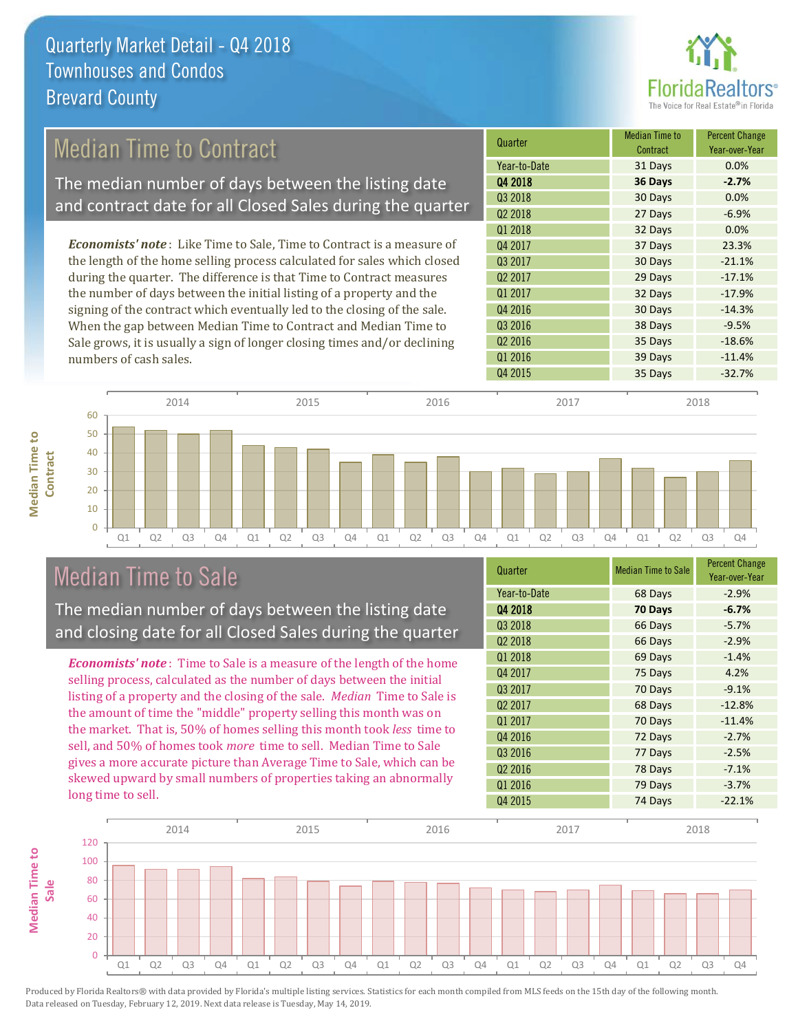

### Median Time to Contract

The median number of days between the listing date and contract date for all Closed Sales during the quarter

*Economists' note* : Like Time to Sale, Time to Contract is a measure of the length of the home selling process calculated for sales which closed during the quarter. The difference is that Time to Contract measures the number of days between the initial listing of a property and the signing of the contract which eventually led to the closing of the sale. When the gap between Median Time to Contract and Median Time to Sale grows, it is usually a sign of longer closing times and/or declining numbers of cash sales.

| Quarter             | <b>Median Time to</b><br>Contract | <b>Percent Change</b><br>Year-over-Year |
|---------------------|-----------------------------------|-----------------------------------------|
| Year-to-Date        | 31 Days                           | 0.0%                                    |
| Q4 2018             | 36 Days                           | $-2.7%$                                 |
| Q3 2018             | 30 Days                           | 0.0%                                    |
| Q <sub>2</sub> 2018 | 27 Days                           | $-6.9%$                                 |
| Q1 2018             | 32 Days                           | 0.0%                                    |
| Q4 2017             | 37 Days                           | 23.3%                                   |
| Q3 2017             | 30 Days                           | $-21.1%$                                |
| Q <sub>2</sub> 2017 | 29 Days                           | $-17.1%$                                |
| Q1 2017             | 32 Days                           | $-17.9%$                                |
| Q4 2016             | 30 Days                           | $-14.3%$                                |
| Q3 2016             | 38 Days                           | $-9.5%$                                 |
| Q <sub>2</sub> 2016 | 35 Days                           | $-18.6%$                                |
| Q1 2016             | 39 Days                           | $-11.4%$                                |
| Q4 2015             | 35 Days                           | $-32.7%$                                |
|                     |                                   |                                         |



### Median Time to Sale

**Median Time to** 

The median number of days between the listing date and closing date for all Closed Sales during the quarter

*Economists' note* : Time to Sale is a measure of the length of the home selling process, calculated as the number of days between the initial listing of a property and the closing of the sale. *Median* Time to Sale is the amount of time the "middle" property selling this month was on the market. That is, 50% of homes selling this month took *less* time to sell, and 50% of homes took *more* time to sell. Median Time to Sale gives a more accurate picture than Average Time to Sale, which can be skewed upward by small numbers of properties taking an abnormally long time to sell.

| Quarter             | <b>Median Time to Sale</b> | <b>Percent Change</b><br>Year-over-Year |
|---------------------|----------------------------|-----------------------------------------|
| Year-to-Date        | 68 Days                    | $-2.9%$                                 |
| Q4 2018             | 70 Days                    | $-6.7%$                                 |
| 03 2018             | 66 Days                    | $-5.7%$                                 |
| Q <sub>2</sub> 2018 | 66 Days                    | $-2.9%$                                 |
| Q1 2018             | 69 Days                    | $-1.4%$                                 |
| Q4 2017             | 75 Days                    | 4.2%                                    |
| Q3 2017             | 70 Days                    | $-9.1%$                                 |
| Q <sub>2</sub> 2017 | 68 Days                    | $-12.8%$                                |
| Q1 2017             | 70 Days                    | $-11.4%$                                |
| Q4 2016             | 72 Days                    | $-2.7%$                                 |
| Q3 2016             | 77 Days                    | $-2.5%$                                 |
| Q <sub>2</sub> 2016 | 78 Days                    | $-7.1%$                                 |
| Q1 2016             | 79 Days                    | $-3.7%$                                 |
| Q4 2015             | 74 Days                    | $-22.1%$                                |
|                     |                            |                                         |

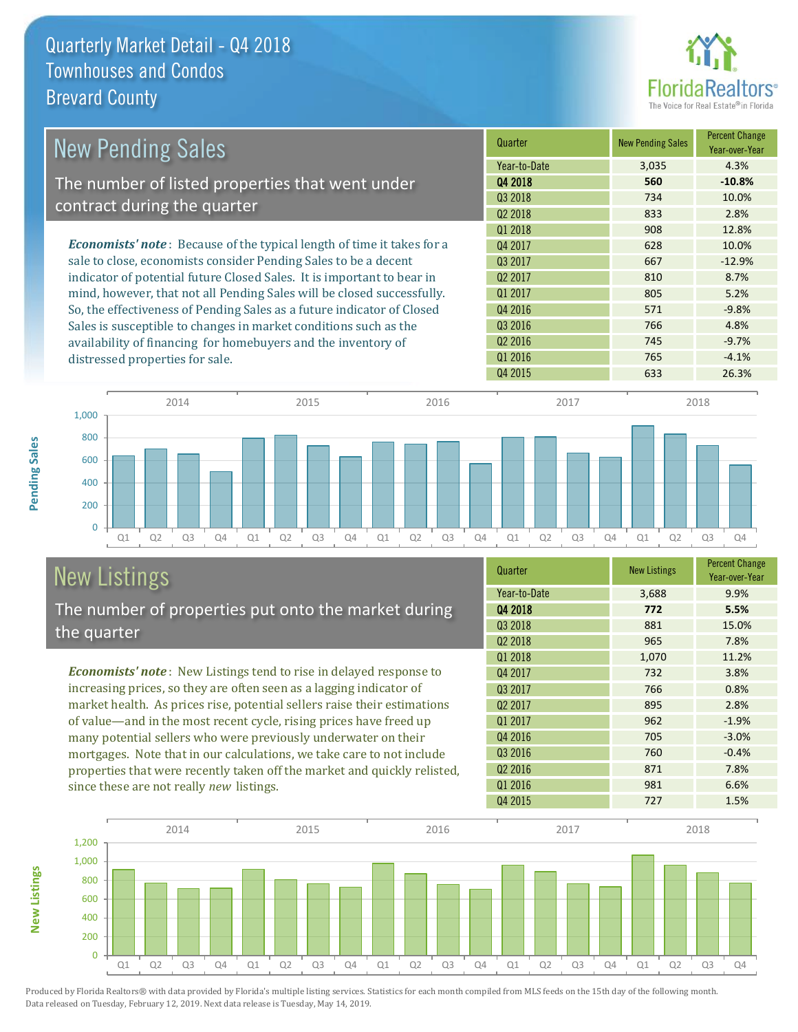

| <b>New Pending Sales</b>                                                       | Quarter             | <b>New Pending Sales</b> | <b>Percent Change</b><br>Year-over-Year |
|--------------------------------------------------------------------------------|---------------------|--------------------------|-----------------------------------------|
|                                                                                | Year-to-Date        | 3,035                    | 4.3%                                    |
| The number of listed properties that went under                                | Q4 2018             | 560                      | $-10.8%$                                |
| contract during the quarter                                                    | Q3 2018             | 734                      | 10.0%                                   |
|                                                                                | Q <sub>2</sub> 2018 | 833                      | 2.8%                                    |
|                                                                                | Q1 2018             | 908                      | 12.8%                                   |
| <b>Economists' note</b> : Because of the typical length of time it takes for a | Q4 2017             | 628                      | 10.0%                                   |
| sale to close, economists consider Pending Sales to be a decent                | 03 2017             | 667                      | $-12.9%$                                |
| indicator of potential future Closed Sales. It is important to bear in         | Q <sub>2</sub> 2017 | 810                      | 8.7%                                    |
| mind, however, that not all Pending Sales will be closed successfully.         | Q1 2017             | 805                      | 5.2%                                    |
| So, the effectiveness of Pending Sales as a future indicator of Closed         | Q4 2016             | 571                      | $-9.8%$                                 |
| Sales is susceptible to changes in market conditions such as the               | Q3 2016             | 766                      | 4.8%                                    |
| availability of financing for homebuyers and the inventory of                  | Q <sub>2</sub> 2016 | 745                      | $-9.7%$                                 |
| distressed properties for sale.                                                | Q1 2016             | 765                      | $-4.1%$                                 |



#### New Listings The number of properties put onto the market during the quarter

**New Listings**

**Pending Sales**

Pending Sales

*Economists' note* : New Listings tend to rise in delayed response to increasing prices, so they are often seen as a lagging indicator of market health. As prices rise, potential sellers raise their estimations of value—and in the most recent cycle, rising prices have freed up many potential sellers who were previously underwater on their mortgages. Note that in our calculations, we take care to not include properties that were recently taken off the market and quickly relisted, since these are not really *new* listings.

| Quarter             | <b>New Listings</b> | <b>Percent Change</b><br>Year-over-Year |
|---------------------|---------------------|-----------------------------------------|
| Year-to-Date        | 3,688               | 9.9%                                    |
| 04 2018             | 772                 | 5.5%                                    |
| Q3 2018             | 881                 | 15.0%                                   |
| Q <sub>2</sub> 2018 | 965                 | 7.8%                                    |
| Q1 2018             | 1,070               | 11.2%                                   |
| Q4 2017             | 732                 | 3.8%                                    |
| Q3 2017             | 766                 | 0.8%                                    |
| Q <sub>2</sub> 2017 | 895                 | 2.8%                                    |
| Q1 2017             | 962                 | $-1.9%$                                 |
| Q4 2016             | 705                 | $-3.0%$                                 |
| Q3 2016             | 760                 | $-0.4%$                                 |
| Q <sub>2</sub> 2016 | 871                 | 7.8%                                    |
| Q1 2016             | 981                 | 6.6%                                    |
| Q4 2015             | 727                 | 1.5%                                    |

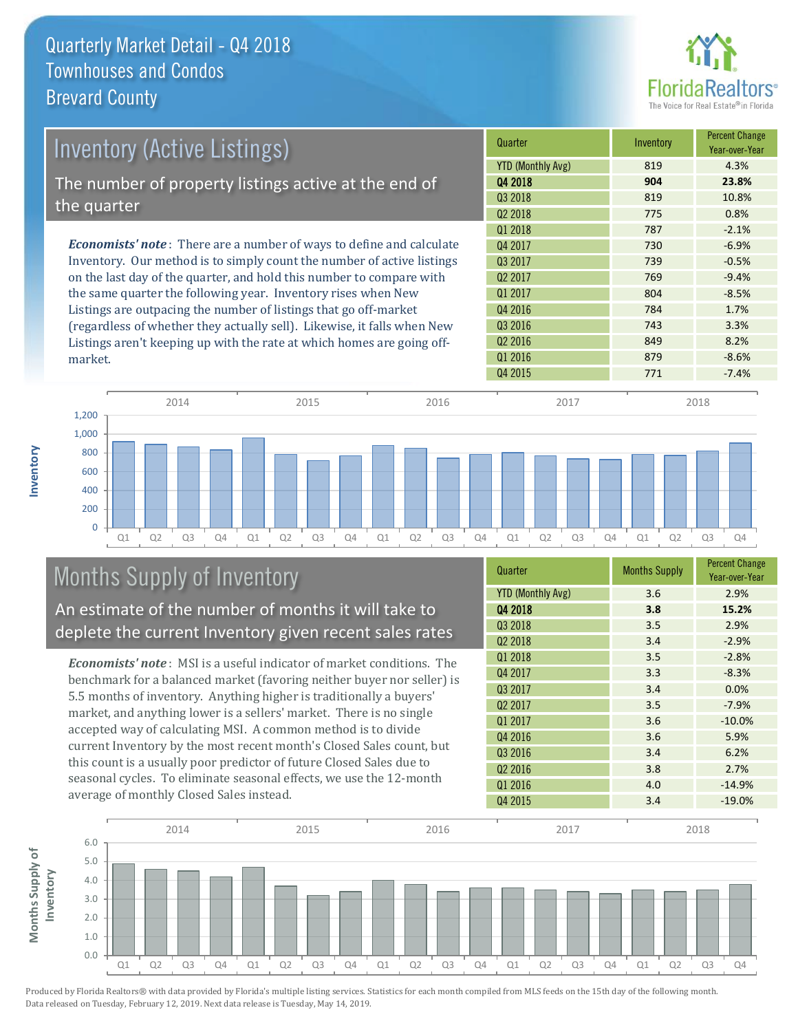market.

**Inventory**



| <b>Inventory (Active Listings)</b>                                           | Quarter             | Inventory | <b>Percent Change</b><br>Year-over-Year |
|------------------------------------------------------------------------------|---------------------|-----------|-----------------------------------------|
|                                                                              | YTD (Monthly Avg)   | 819       | 4.3%                                    |
| The number of property listings active at the end of                         | Q4 2018             | 904       | 23.8%                                   |
|                                                                              | 03 2018             | 819       | 10.8%                                   |
| the quarter                                                                  | Q <sub>2</sub> 2018 | 775       | 0.8%                                    |
|                                                                              | Q1 2018             | 787       | $-2.1%$                                 |
| <b>Economists' note</b> : There are a number of ways to define and calculate | Q4 2017             | 730       | $-6.9%$                                 |
| Inventory. Our method is to simply count the number of active listings       | Q3 2017             | 739       | $-0.5%$                                 |
| on the last day of the quarter, and hold this number to compare with         | Q <sub>2</sub> 2017 | 769       | $-9.4%$                                 |
| the same quarter the following year. Inventory rises when New                | 01 2017             | 804       | $-8.5%$                                 |
| Listings are outpacing the number of listings that go off-market             | Q4 2016             | 784       | 1.7%                                    |
| (regardless of whether they actually sell). Likewise, it falls when New      | Q3 2016             | 743       | 3.3%                                    |
| Listings aren't keeping up with the rate at which homes are going off-       | Q <sub>2</sub> 2016 | 849       | 8.2%                                    |



# Months Supply of Inventory

An estimate of the number of months it will take to deplete the current Inventory given recent sales rates

*Economists' note* : MSI is a useful indicator of market conditions. The benchmark for a balanced market (favoring neither buyer nor seller) is 5.5 months of inventory. Anything higher is traditionally a buyers' market, and anything lower is a sellers' market. There is no single accepted way of calculating MSI. A common method is to divide current Inventory by the most recent month's Closed Sales count, but this count is a usually poor predictor of future Closed Sales due to seasonal cycles. To eliminate seasonal effects, we use the 12-month average of monthly Closed Sales instead.

| Quarter                  | <b>Months Supply</b> | <b>Percent Change</b><br>Year-over-Year |
|--------------------------|----------------------|-----------------------------------------|
| <b>YTD (Monthly Avg)</b> | 3.6                  | 2.9%                                    |
| Q4 2018                  | 3.8                  | 15.2%                                   |
| Q3 2018                  | 3.5                  | 2.9%                                    |
| Q <sub>2</sub> 2018      | 3.4                  | $-2.9%$                                 |
| Q1 2018                  | 3.5                  | $-2.8%$                                 |
| Q4 2017                  | 3.3                  | $-8.3%$                                 |
| Q3 2017                  | 3.4                  | 0.0%                                    |
| 02 2017                  | 3.5                  | $-7.9%$                                 |
| Q1 2017                  | 3.6                  | $-10.0%$                                |
| Q4 2016                  | 3.6                  | 5.9%                                    |
| Q3 2016                  | 3.4                  | 6.2%                                    |
| Q <sub>2</sub> 2016      | 3.8                  | 2.7%                                    |
| Q1 2016                  | 4.0                  | $-14.9%$                                |
| Q4 2015                  | 3.4                  | $-19.0%$                                |

Q4 2015 771 -7.4%

Q1 2016 879 379 38.6%

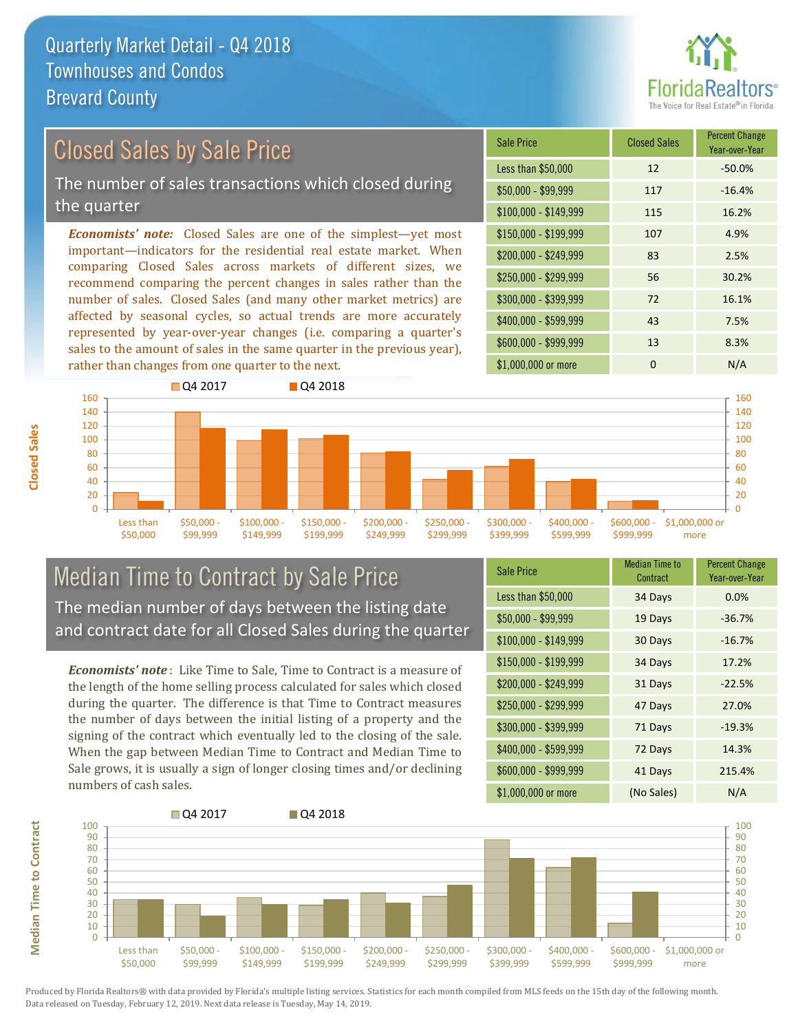

## Closed Sales by Sale Price

The number of sales transactions which closed during the quarter

*Economists' note:* Closed Sales are one of the simplest—yet most important—indicators for the residential real estate market. When comparing Closed Sales across markets of different sizes, we recommend comparing the percent changes in sales rather than the number of sales. Closed Sales (and many other market metrics) are affected by seasonal cycles, so actual trends are more accurately represented by year-over-year changes (i.e. comparing a quarter's sales to the amount of sales in the same quarter in the previous year), rather than changes from one quarter to the next.

| Sale Price            | <b>Closed Sales</b> | <b>Percent Change</b><br>Year-over-Year |
|-----------------------|---------------------|-----------------------------------------|
| Less than \$50,000    | 12                  | $-50.0%$                                |
| $$50,000 - $99,999$   | 117                 | $-16.4%$                                |
| $$100,000 - $149,999$ | 115                 | 16.2%                                   |
| $$150,000 - $199,999$ | 107                 | 4.9%                                    |
| \$200,000 - \$249,999 | 83                  | 2.5%                                    |
| \$250,000 - \$299,999 | 56                  | 30.2%                                   |
| \$300,000 - \$399,999 | 72                  | 16.1%                                   |
| \$400,000 - \$599,999 | 43                  | 7.5%                                    |
| \$600,000 - \$999,999 | 13                  | 8.3%                                    |
| \$1,000,000 or more   | ი                   | N/A                                     |



#### Median Time to Contract by Sale Price The median number of days between the listing date and contract date for all Closed Sales during the quarter

*Economists' note* : Like Time to Sale, Time to Contract is a measure of the length of the home selling process calculated for sales which closed during the quarter. The difference is that Time to Contract measures the number of days between the initial listing of a property and the signing of the contract which eventually led to the closing of the sale. When the gap between Median Time to Contract and Median Time to Sale grows, it is usually a sign of longer closing times and/or declining numbers of cash sales.

| <b>Sale Price</b>     | <b>Median Time to</b><br>Contract | <b>Percent Change</b><br>Year-over-Year |
|-----------------------|-----------------------------------|-----------------------------------------|
| Less than \$50,000    | 34 Days                           | 0.0%                                    |
| $$50,000 - $99,999$   | 19 Days                           | $-36.7%$                                |
| $$100,000 - $149,999$ | 30 Days                           | $-16.7%$                                |
| $$150,000 - $199,999$ | 34 Days                           | 17.2%                                   |
| \$200,000 - \$249,999 | 31 Days                           | $-22.5%$                                |
| \$250,000 - \$299,999 | 47 Days                           | 27.0%                                   |
| \$300,000 - \$399,999 | 71 Days                           | $-19.3%$                                |
| $$400,000 - $599,999$ | 72 Days                           | 14.3%                                   |
| \$600,000 - \$999,999 | 41 Days                           | 215.4%                                  |
| \$1,000,000 or more   | (No Sales)                        | N/A                                     |

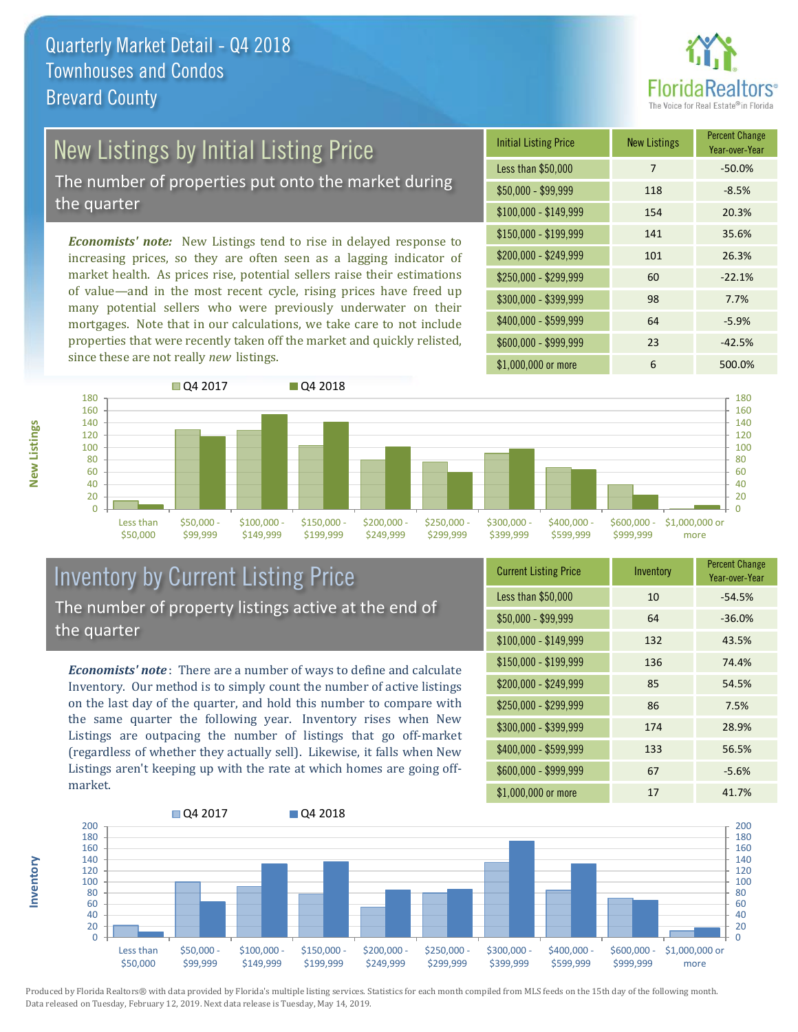

# New Listings by Initial Listing Price

The number of properties put onto the market during the quarter

*Economists' note:* New Listings tend to rise in delayed response to increasing prices, so they are often seen as a lagging indicator of market health. As prices rise, potential sellers raise their estimations of value—and in the most recent cycle, rising prices have freed up many potential sellers who were previously underwater on their mortgages. Note that in our calculations, we take care to not include properties that were recently taken off the market and quickly relisted, since these are not really *new* listings.





#### Inventory by Current Listing Price The number of property listings active at the end of the quarter

*Economists' note* : There are a number of ways to define and calculate Inventory. Our method is to simply count the number of active listings on the last day of the quarter, and hold this number to compare with the same quarter the following year. Inventory rises when New Listings are outpacing the number of listings that go off-market (regardless of whether they actually sell). Likewise, it falls when New Listings aren't keeping up with the rate at which homes are going offmarket.

| <b>Current Listing Price</b> | Inventory | <b>Percent Change</b><br>Year-over-Year |
|------------------------------|-----------|-----------------------------------------|
| Less than \$50,000           | 10        | $-54.5%$                                |
| $$50,000 - $99,999$          | 64        | $-36.0%$                                |
| $$100,000 - $149,999$        | 132       | 43.5%                                   |
| $$150,000 - $199,999$        | 136       | 74.4%                                   |
| \$200,000 - \$249,999        | 85        | 54.5%                                   |
| \$250,000 - \$299,999        | 86        | 7.5%                                    |
| \$300,000 - \$399,999        | 174       | 28.9%                                   |
| \$400,000 - \$599,999        | 133       | 56.5%                                   |
| \$600,000 - \$999,999        | 67        | $-5.6%$                                 |
| \$1,000,000 or more          | 17        | 41.7%                                   |



Produced by Florida Realtors® with data provided by Florida's multiple listing services. Statistics for each month compiled from MLS feeds on the 15th day of the following month. Data released on Tuesday, February 12, 2019. Next data release is Tuesday, May 14, 2019.

**Inventory**